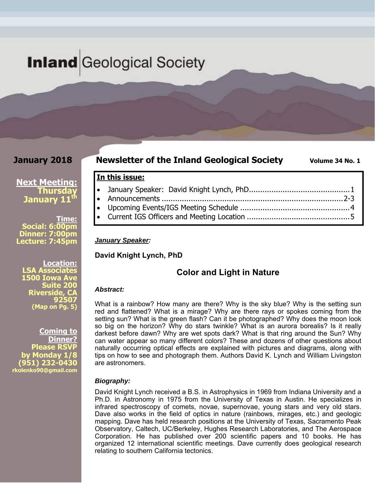## **Inland** Geological Society

#### **January 2018**

#### **Newsletter of the Inland Geological Society** Volume 34 No. 1

#### **Next Meeting: Thursday January 11<sup>th</sup>**

**Time: Social: 6:00pm Dinner: 7:00pm Lecture: 7:45pm** 

**Location: LSA Associates 1500 Iowa Ave Suite 200 Riverside, CA 92507 (Map on Pg. 5)**

**Coming to Dinner? Please RSVP by Monday 1/8 (951) 232-0430 rkolenko90@gmail.com** 

#### **In this issue:**

- January Speaker: David Knight Lynch, PhD ............................................. 1 Announcements ................................................................................. 2-3
- Upcoming Events/IGS Meeting Schedule ................................................. 4
- Current IGS Officers and Meeting Location .............................................. 5

#### *January Speaker:*

**David Knight Lynch, PhD** 

#### **Color and Light in Nature**

#### *Abstract:*

What is a rainbow? How many are there? Why is the sky blue? Why is the setting sun red and flattened? What is a mirage? Why are there rays or spokes coming from the setting sun? What is the green flash? Can it be photographed? Why does the moon look so big on the horizon? Why do stars twinkle? What is an aurora borealis? Is it really darkest before dawn? Why are wet spots dark? What is that ring around the Sun? Why can water appear so many different colors? These and dozens of other questions about naturally occurring optical effects are explained with pictures and diagrams, along with tips on how to see and photograph them. Authors David K. Lynch and William Livingston are astronomers.

#### *Biography:*

David Knight Lynch received a B.S. in Astrophysics in 1969 from Indiana University and a Ph.D. in Astronomy in 1975 from the University of Texas in Austin. He specializes in infrared spectroscopy of comets, novae, supernovae, young stars and very old stars. Dave also works in the field of optics in nature (rainbows, mirages, etc.) and geologic mapping. Dave has held research positions at the University of Texas, Sacramento Peak Observatory, Caltech, UC/Berkeley, Hughes Research Laboratories, and The Aerospace Corporation. He has published over 200 scientific papers and 10 books. He has organized 12 international scientific meetings. Dave currently does geological research relating to southern California tectonics.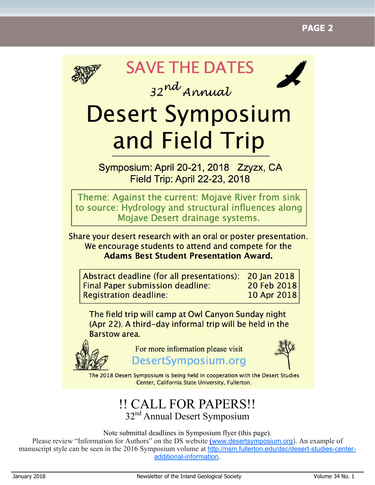

**SAVE THE DATES** 

32nd Annual



# **Desert Symposium** and Field Trip

Symposium: April 20-21, 2018 Zzyzx, CA **Field Trip: April 22-23, 2018** 

Theme: Against the current: Mojave River from sink to source: Hydrology and structural influences along Mojave Desert drainage systems.

Share your desert research with an oral or poster presentation. We encourage students to attend and compete for the **Adams Best Student Presentation Award.** 

Abstract deadline (for all presentations): 20 Jan 2018 **Final Paper submission deadline:** 20 Feb 2018 **Registration deadline:** 10 Apr 2018

The field trip will camp at Owl Canyon Sunday night (Apr 22). A third-day informal trip will be held in the **Barstow area.** 



For more information please visit DesertSymposium.org



The 2018 Desert Symposium is being held in cooperation with the Desert Studies Center, California State University, Fullerton.

### !! CALL FOR PAPERS!! 32<sup>nd</sup> Annual Desert Symposium

Note submittal deadlines in Symposium flyer (this page).

Please review "Information for Authors" on the DS website (www.desertsymposium.org). An example of manuscript style can be seen in the 2016 Symposium volume at http://nsm.fullerton.edu/dsc/desert-studies-centeradditional-information.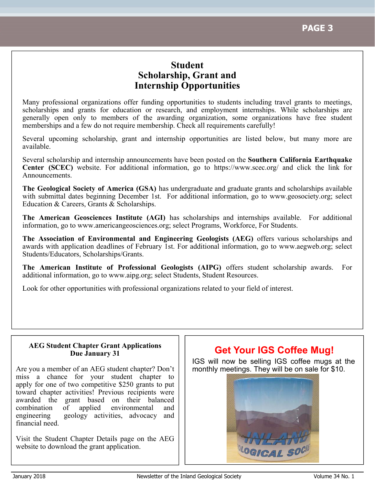### **Student Scholarship, Grant and Internship Opportunities**

Many professional organizations offer funding opportunities to students including travel grants to meetings, scholarships and grants for education or research, and employment internships. While scholarships are generally open only to members of the awarding organization, some organizations have free student memberships and a few do not require membership. Check all requirements carefully!

Several upcoming scholarship, grant and internship opportunities are listed below, but many more are available.

Several scholarship and internship announcements have been posted on the **Southern California Earthquake Center (SCEC)** website. For additional information, go to https://www.scec.org/ and click the link for Announcements.

**The Geological Society of America (GSA)** has undergraduate and graduate grants and scholarships available with submittal dates beginning December 1st. For additional information, go to www.geosociety.org; select Education & Careers, Grants & Scholarships.

**The American Geosciences Institute (AGI)** has scholarships and internships available. For additional information, go to www.americangeosciences.org; select Programs, Workforce, For Students.

**The Association of Environmental and Engineering Geologists (AEG)** offers various scholarships and awards with application deadlines of February 1st. For additional information, go to www.aegweb.org; select Students/Educators, Scholarships/Grants.

**The American Institute of Professional Geologists (AIPG)** offers student scholarship awards. For additional information, go to www.aipg.org; select Students, Student Resources.

Look for other opportunities with professional organizations related to your field of interest.

#### **AEG Student Chapter Grant Applications Due January 31**

Are you a member of an AEG student chapter? Don't miss a chance for your student chapter to apply for one of two competitive \$250 grants to put toward chapter activities! Previous recipients were awarded the grant based on their balanced combination of applied environmental and engineering geology activities, advocacy and financial need.

Visit the Student Chapter Details page on the AEG website to download the grant application.

### **Get Your IGS Coffee Mug!**

IGS will now be selling IGS coffee mugs at the monthly meetings. They will be on sale for \$10.

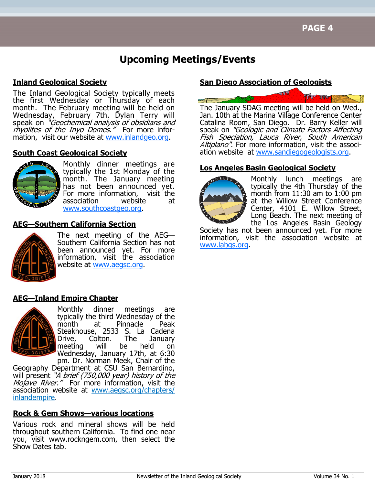### **Upcoming Meetings/Events**

#### **Inland Geological Society**

The Inland Geological Society typically meets the first Wednesday or Thursday of each month. The February meeting will be held on Wednesday, February 7th. Dylan Terry will speak on "*Geochemical analysis of obsidians and* rhyolites of the Inyo Domes." For more information, visit our website at www.inlandgeo.org.

#### **South Coast Geological Society**



Monthly dinner meetings are typically the 1st Monday of the month. The January meeting has not been announced yet. For more information, visit the association website at www.southcoastgeo.org.

#### **AEG—Southern California Section**



The next meeting of the AEG— Southern California Section has not been announced yet. For more information, visit the association website at www.aegsc.org.

#### **AEG—Inland Empire Chapter**



Monthly dinner meetings are typically the third Wednesday of the<br>month at Pinnacle Peak at Pinnacle Peak Steakhouse, 2533 S. La Cadena Drive, Colton. The January meeting will be held on Wednesday, January 17th, at 6:30

pm. Dr. Norman Meek, Chair of the Geography Department at CSU San Bernardino, will present "A brief (750,000 year) history of the Mojave River." For more information, visit the association website at www.aegsc.org/chapters/ inlandempire.

#### **Rock & Gem Shows—various locations**

Various rock and mineral shows will be held throughout southern California. To find one near you, visit www.rockngem.com, then select the Show Dates tab.

#### **San Diego Association of Geologists**



Jan. 10th at the Marina Village Conference Center Catalina Room, San Diego. Dr. Barry Keller will speak on "Geologic and Climate Factors Affecting Fish Speciation, Lauca River, South American Altiplano". For more information, visit the association website at www.sandiegogeologists.org.

#### **Los Angeles Basin Geological Society**



Monthly lunch meetings are typically the 4th Thursday of the month from 11:30 am to 1:00 pm at the Willow Street Conference Center, 4101 E. Willow Street, Long Beach. The next meeting of the Los Angeles Basin Geology

Society has not been announced yet. For more information, visit the association website at www.labgs.org.